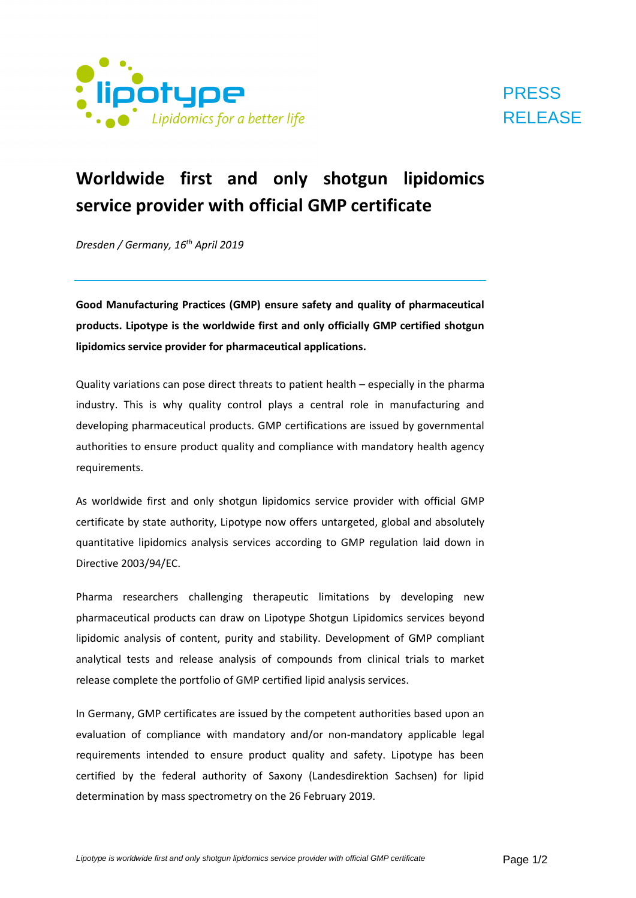

## **PRESS** RELEASE

## **Worldwide first and only shotgun lipidomics service provider with official GMP certificate**

*Dresden / Germany, 16th April 2019*

**Good Manufacturing Practices (GMP) ensure safety and quality of pharmaceutical products. Lipotype is the worldwide first and only officially GMP certified shotgun lipidomics service provider for pharmaceutical applications.**

Quality variations can pose direct threats to patient health – especially in the pharma industry. This is why quality control plays a central role in manufacturing and developing pharmaceutical products. GMP certifications are issued by governmental authorities to ensure product quality and compliance with mandatory health agency requirements.

As worldwide first and only shotgun lipidomics service provider with official GMP certificate by state authority, Lipotype now offers untargeted, global and absolutely quantitative lipidomics analysis services according to GMP regulation laid down in Directive 2003/94/EC.

Pharma researchers challenging therapeutic limitations by developing new pharmaceutical products can draw on Lipotype Shotgun Lipidomics services beyond lipidomic analysis of content, purity and stability. Development of GMP compliant analytical tests and release analysis of compounds from clinical trials to market release complete the portfolio of GMP certified lipid analysis services.

In Germany, GMP certificates are issued by the competent authorities based upon an evaluation of compliance with mandatory and/or non-mandatory applicable legal requirements intended to ensure product quality and safety. Lipotype has been certified by the federal authority of Saxony (Landesdirektion Sachsen) for lipid determination by mass spectrometry on the 26 February 2019.